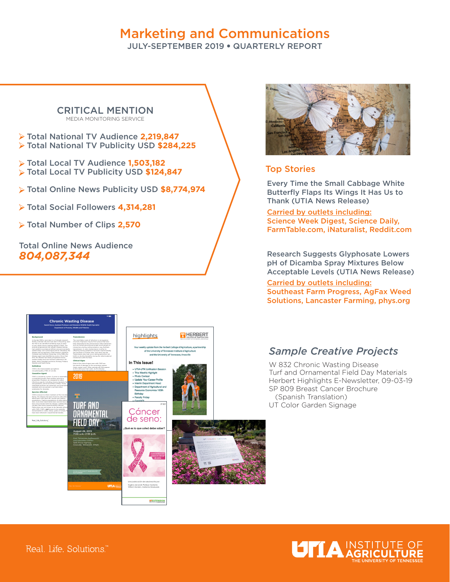# Marketing and Communications

JULY-SEPTEMBER 2019 • QUARTERLY REPORT

#### CRITICAL MENTION MEDIA MONITORING SERVICE

- Total National TV Audience **2,219,847**  Total National TV Publicity USD **\$284,225**
- Total Local TV Audience **1,503,182**  Total Local TV Publicity USD **\$124,847**
- Total Online News Publicity USD **\$8,774,974**
- Total Social Followers **4,314,281**
- Total Number of Clips **2,570**

Total Online News Audience *804,087,344* 



### Top Stories

Every Time the Small Cabbage White Butterfly Flaps Its Wings It Has Us to Thank (UTIA News Release)

Carried by outlets including: Science Week Digest, Science Daily, FarmTable.com, iNaturalist, Reddit.com

Research Suggests Glyphosate Lowers pH of Dicamba Spray Mixtures Below Acceptable Levels (UTIA News Release)

Carried by outlets including: Southeast Farm Progress, AgFax Weed Solutions, Lancaster Farming, phys.org



## *Sample Creative Projects*

W 832 Chronic Wasting Disease Turf and Ornamental Field Day Materials Herbert Highlights E-Newsletter, 09-03-19 SP 809 Breast Cancer Brochure (Spanish Translation) UT Color Garden Signage